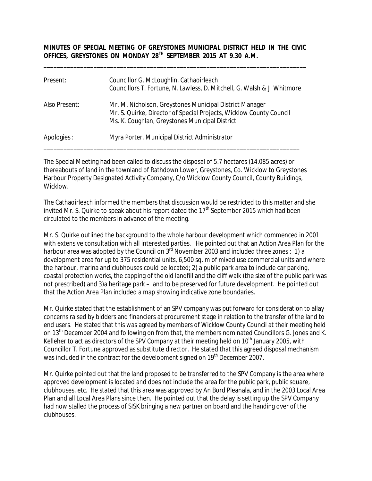**MINUTES OF SPECIAL MEETING OF GREYSTONES MUNICIPAL DISTRICT HELD IN THE CIVIC OFFICES, GREYSTONES ON MONDAY 28TH SEPTEMBER 2015 AT 9.30 A.M.**

\_\_\_\_\_\_\_\_\_\_\_\_\_\_\_\_\_\_\_\_\_\_\_\_\_\_\_\_\_\_\_\_\_\_\_\_\_\_\_\_\_\_\_\_\_\_\_\_\_\_\_\_\_\_\_\_\_\_\_\_\_\_\_\_\_\_\_\_\_\_\_\_\_\_\_\_\_\_\_

| Present:      | Councillor G. McLoughlin, Cathaoirleach<br>Councillors T. Fortune, N. Lawless, D. Mitchell, G. Walsh & J. Whitmore                                                               |
|---------------|----------------------------------------------------------------------------------------------------------------------------------------------------------------------------------|
| Also Present: | Mr. M. Nicholson, Greystones Municipal District Manager<br>Mr. S. Quirke, Director of Special Projects, Wicklow County Council<br>Ms. K. Coughlan, Greystones Municipal District |
| Apologies :   | Myra Porter. Municipal District Administrator                                                                                                                                    |

The Special Meeting had been called to discuss the disposal of 5.7 hectares (14.085 acres) or thereabouts of land in the townland of Rathdown Lower, Greystones, Co. Wicklow to Greystones Harbour Property Designated Activity Company, C/o Wicklow County Council, County Buildings, Wicklow.

The Cathaoirleach informed the members that discussion would be restricted to this matter and she invited Mr. S. Quirke to speak about his report dated the  $17<sup>th</sup>$  September 2015 which had been circulated to the members in advance of the meeting.

Mr. S. Quirke outlined the background to the whole harbour development which commenced in 2001 with extensive consultation with all interested parties. He pointed out that an Action Area Plan for the harbour area was adopted by the Council on 3<sup>rd</sup> November 2003 and included three zones : 1) a development area for up to 375 residential units, 6,500 sq. m of mixed use commercial units and where the harbour, marina and clubhouses could be located; 2) a public park area to include car parking, coastal protection works, the capping of the old landfill and the cliff walk (the size of the public park was not prescribed) and 3)a heritage park – land to be preserved for future development. He pointed out that the Action Area Plan included a map showing indicative zone boundaries.

Mr. Quirke stated that the establishment of an SPV company was put forward for consideration to allay concerns raised by bidders and financiers at procurement stage in relation to the transfer of the land to end users. He stated that this was agreed by members of Wicklow County Council at their meeting held on 13<sup>th</sup> December 2004 and following on from that, the members nominated Councillors G. Jones and K. Kelleher to act as directors of the SPV Company at their meeting held on  $10<sup>th</sup>$  January 2005, with Councillor T. Fortune approved as substitute director. He stated that this agreed disposal mechanism was included in the contract for the development signed on 19<sup>th</sup> December 2007.

Mr. Quirke pointed out that the land proposed to be transferred to the SPV Company is the area where approved development is located and does not include the area for the public park, public square, clubhouses, etc. He stated that this area was approved by An Bord Pleanala, and in the 2003 Local Area Plan and all Local Area Plans since then. He pointed out that the delay is setting up the SPV Company had now stalled the process of SISK bringing a new partner on board and the handing over of the clubhouses.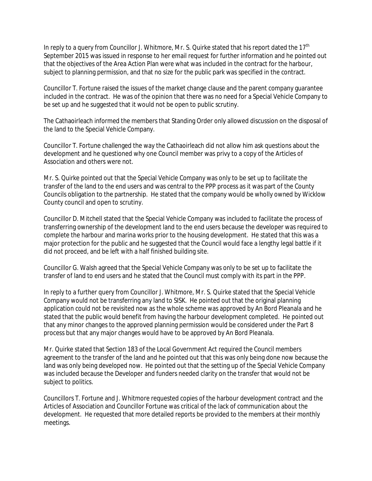In reply to a query from Councillor J. Whitmore, Mr. S. Quirke stated that his report dated the  $17<sup>th</sup>$ September 2015 was issued in response to her email request for further information and he pointed out that the objectives of the Area Action Plan were what was included in the contract for the harbour, subject to planning permission, and that no size for the public park was specified in the contract.

Councillor T. Fortune raised the issues of the market change clause and the parent company guarantee included in the contract. He was of the opinion that there was no need for a Special Vehicle Company to be set up and he suggested that it would not be open to public scrutiny.

The Cathaoirleach informed the members that Standing Order only allowed discussion on the disposal of the land to the Special Vehicle Company.

Councillor T. Fortune challenged the way the Cathaoirleach did not allow him ask questions about the development and he questioned why one Council member was privy to a copy of the Articles of Association and others were not.

Mr. S. Quirke pointed out that the Special Vehicle Company was only to be set up to facilitate the transfer of the land to the end users and was central to the PPP process as it was part of the County Councils obligation to the partnership. He stated that the company would be wholly owned by Wicklow County council and open to scrutiny.

Councillor D. Mitchell stated that the Special Vehicle Company was included to facilitate the process of transferring ownership of the development land to the end users because the developer was required to complete the harbour and marina works prior to the housing development. He stated that this was a major protection for the public and he suggested that the Council would face a lengthy legal battle if it did not proceed, and be left with a half finished building site.

Councillor G. Walsh agreed that the Special Vehicle Company was only to be set up to facilitate the transfer of land to end users and he stated that the Council must comply with its part in the PPP.

In reply to a further query from Councillor J. Whitmore, Mr. S. Quirke stated that the Special Vehicle Company would not be transferring any land to SISK. He pointed out that the original planning application could not be revisited now as the whole scheme was approved by An Bord Pleanala and he stated that the public would benefit from having the harbour development completed. He pointed out that any minor changes to the approved planning permission would be considered under the Part 8 process but that any major changes would have to be approved by An Bord Pleanala.

Mr. Quirke stated that Section 183 of the Local Government Act required the Council members agreement to the transfer of the land and he pointed out that this was only being done now because the land was only being developed now. He pointed out that the setting up of the Special Vehicle Company was included because the Developer and funders needed clarity on the transfer that would not be subject to politics.

Councillors T. Fortune and J. Whitmore requested copies of the harbour development contract and the Articles of Association and Councillor Fortune was critical of the lack of communication about the development. He requested that more detailed reports be provided to the members at their monthly meetings.